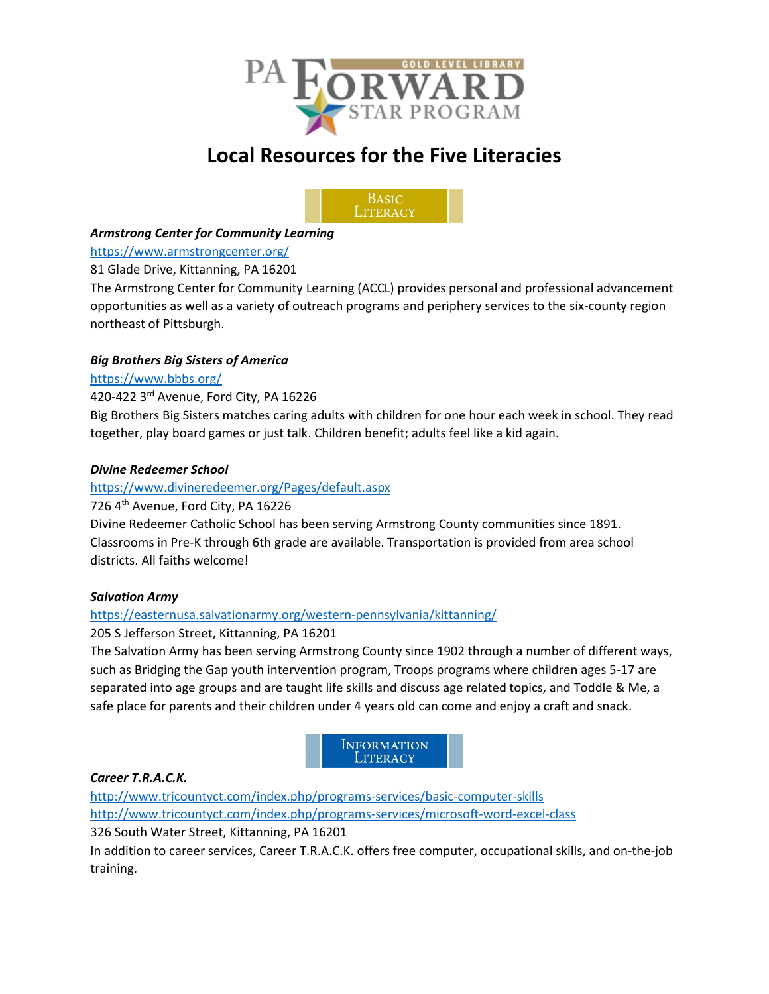

# **Local Resources for the Five Literacies**



# *Armstrong Center for Community Learning*

# <https://www.armstrongcenter.org/>

# 81 Glade Drive, Kittanning, PA 16201

The Armstrong Center for Community Learning (ACCL) provides personal and professional advancement opportunities as well as a variety of outreach programs and periphery services to the six-county region northeast of Pittsburgh.

# *Big Brothers Big Sisters of America*

# <https://www.bbbs.org/>

# 420-422 3rd Avenue, Ford City, PA 16226

Big Brothers Big Sisters matches caring adults with children for one hour each week in school. They read together, play board games or just talk. Children benefit; adults feel like a kid again.

# *Divine Redeemer School*

# <https://www.divineredeemer.org/Pages/default.aspx>

# 726 4th Avenue, Ford City, PA 16226

Divine Redeemer Catholic School has been serving Armstrong County communities since 1891. Classrooms in Pre-K through 6th grade are available. Transportation is provided from area school districts. All faiths welcome!

# *Salvation Army*

# <https://easternusa.salvationarmy.org/western-pennsylvania/kittanning/>

# 205 S Jefferson Street, Kittanning, PA 16201

The Salvation Army has been serving Armstrong County since 1902 through a number of different ways, such as Bridging the Gap youth intervention program, Troops programs where children ages 5-17 are separated into age groups and are taught life skills and discuss age related topics, and Toddle & Me, a safe place for parents and their children under 4 years old can come and enjoy a craft and snack.



# *Career T.R.A.C.K.*

<http://www.tricountyct.com/index.php/programs-services/basic-computer-skills> <http://www.tricountyct.com/index.php/programs-services/microsoft-word-excel-class> 326 South Water Street, Kittanning, PA 16201 In addition to career services, Career T.R.A.C.K. offers free computer, occupational skills, and on-the-job training.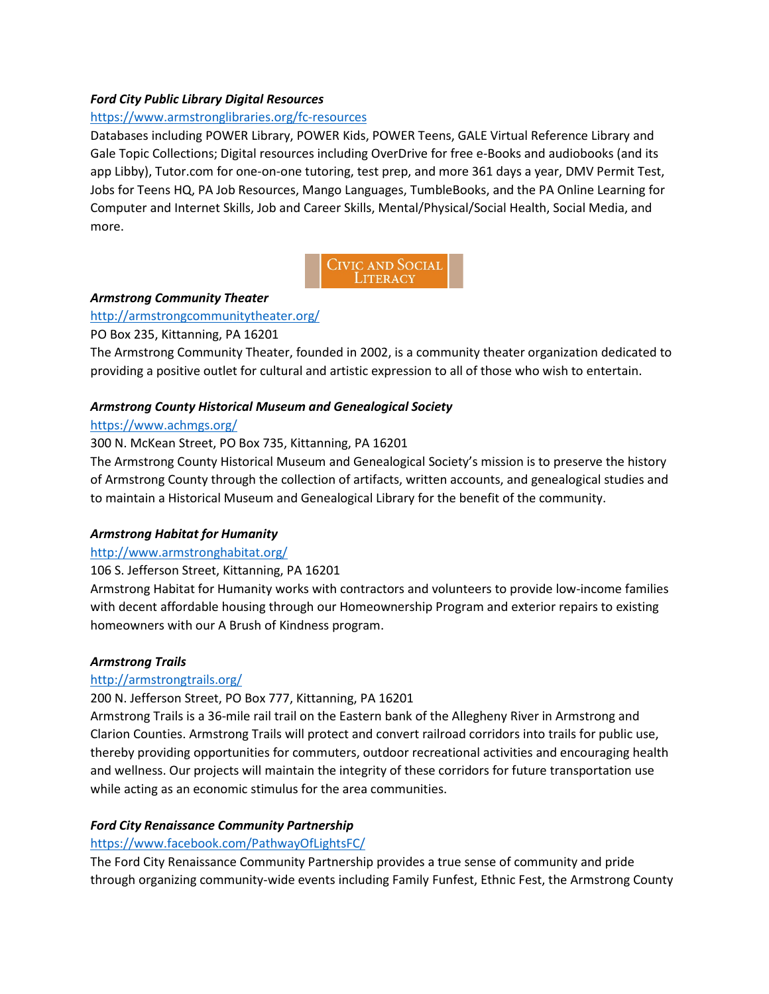# *Ford City Public Library Digital Resources*

# <https://www.armstronglibraries.org/fc-resources>

Databases including POWER Library, POWER Kids, POWER Teens, GALE Virtual Reference Library and Gale Topic Collections; Digital resources including OverDrive for free e-Books and audiobooks (and its app Libby), Tutor.com for one-on-one tutoring, test prep, and more 361 days a year, DMV Permit Test, Jobs for Teens HQ, PA Job Resources, Mango Languages, TumbleBooks, and the PA Online Learning for Computer and Internet Skills, Job and Career Skills, Mental/Physical/Social Health, Social Media, and more.



# *Armstrong Community Theater*

# <http://armstrongcommunitytheater.org/>

# PO Box 235, Kittanning, PA 16201

The Armstrong Community Theater, founded in 2002, is a community theater organization dedicated to providing a positive outlet for cultural and artistic expression to all of those who wish to entertain.

# *Armstrong County Historical Museum and Genealogical Society*

# <https://www.achmgs.org/>

# 300 N. McKean Street, PO Box 735, Kittanning, PA 16201

The Armstrong County Historical Museum and Genealogical Society's mission is to preserve the history of Armstrong County through the collection of artifacts, written accounts, and genealogical studies and to maintain a Historical Museum and Genealogical Library for the benefit of the community.

# *Armstrong Habitat for Humanity*

# <http://www.armstronghabitat.org/>

# 106 S. Jefferson Street, Kittanning, PA 16201

Armstrong Habitat for Humanity works with contractors and volunteers to provide low-income families with decent affordable housing through our Homeownership Program and exterior repairs to existing homeowners with our A Brush of Kindness program.

# *Armstrong Trails*

# <http://armstrongtrails.org/>

# 200 N. Jefferson Street, PO Box 777, Kittanning, PA 16201

Armstrong Trails is a 36-mile rail trail on the Eastern bank of the Allegheny River in Armstrong and Clarion Counties. Armstrong Trails will protect and convert railroad corridors into trails for public use, thereby providing opportunities for commuters, outdoor recreational activities and encouraging health and wellness. Our projects will maintain the integrity of these corridors for future transportation use while acting as an economic stimulus for the area communities.

# *Ford City Renaissance Community Partnership*

# <https://www.facebook.com/PathwayOfLightsFC/>

The Ford City Renaissance Community Partnership provides a true sense of community and pride through organizing community-wide events including Family Funfest, Ethnic Fest, the Armstrong County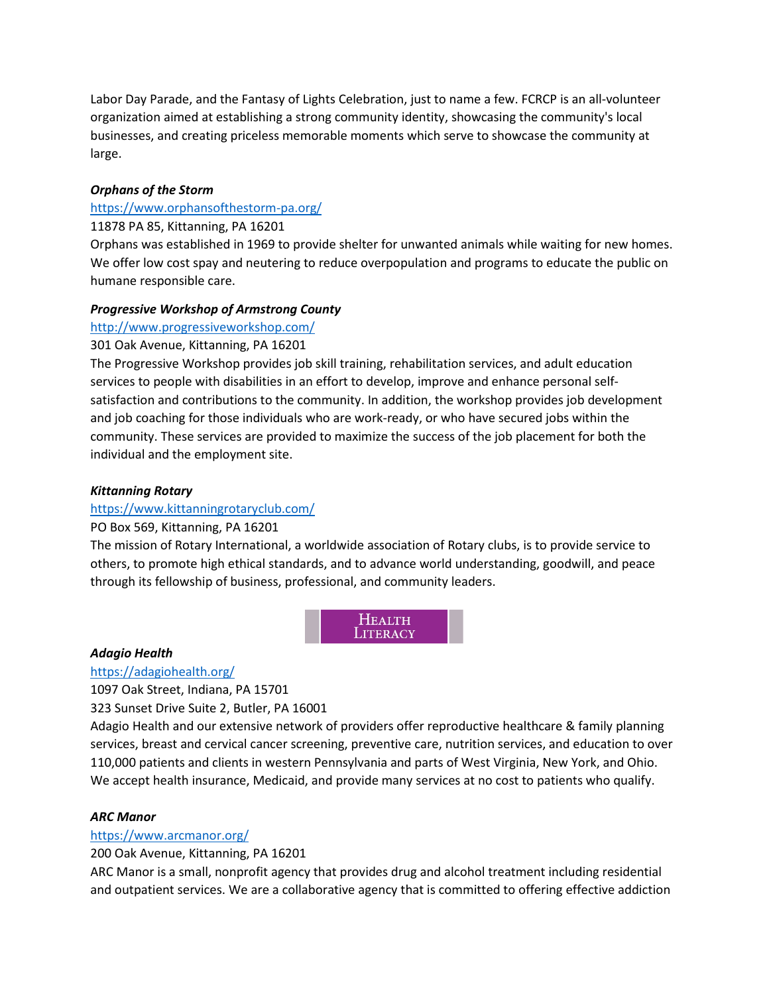Labor Day Parade, and the Fantasy of Lights Celebration, just to name a few. FCRCP is an all-volunteer organization aimed at establishing a strong community identity, showcasing the community's local businesses, and creating priceless memorable moments which serve to showcase the community at large.

#### *Orphans of the Storm*

# <https://www.orphansofthestorm-pa.org/>

#### 11878 PA 85, Kittanning, PA 16201

Orphans was established in 1969 to provide shelter for unwanted animals while waiting for new homes. We offer low cost spay and neutering to reduce overpopulation and programs to educate the public on humane responsible care.

#### *Progressive Workshop of Armstrong County*

<http://www.progressiveworkshop.com/>

#### 301 Oak Avenue, Kittanning, PA 16201

The Progressive Workshop provides job skill training, rehabilitation services, and adult education services to people with disabilities in an effort to develop, improve and enhance personal selfsatisfaction and contributions to the community. In addition, the workshop provides job development and job coaching for those individuals who are work-ready, or who have secured jobs within the community. These services are provided to maximize the success of the job placement for both the individual and the employment site.

#### *Kittanning Rotary*

# <https://www.kittanningrotaryclub.com/>

#### PO Box 569, Kittanning, PA 16201

The mission of Rotary International, a worldwide association of Rotary clubs, is to provide service to others, to promote high ethical standards, and to advance world understanding, goodwill, and peace through its fellowship of business, professional, and community leaders.

> **HEALTH** LITERACY

#### *Adagio Health*

<https://adagiohealth.org/>

1097 Oak Street, Indiana, PA 15701

323 Sunset Drive Suite 2, Butler, PA 16001

Adagio Health and our extensive network of providers offer reproductive healthcare & family planning services, breast and cervical cancer screening, preventive care, nutrition services, and education to over 110,000 patients and clients in western Pennsylvania and parts of West Virginia, New York, and Ohio. We accept health insurance, Medicaid, and provide many services at no cost to patients who qualify.

#### *ARC Manor*

#### <https://www.arcmanor.org/>

200 Oak Avenue, Kittanning, PA 16201

ARC Manor is a small, nonprofit agency that provides drug and alcohol treatment including residential and outpatient services. We are a collaborative agency that is committed to offering effective addiction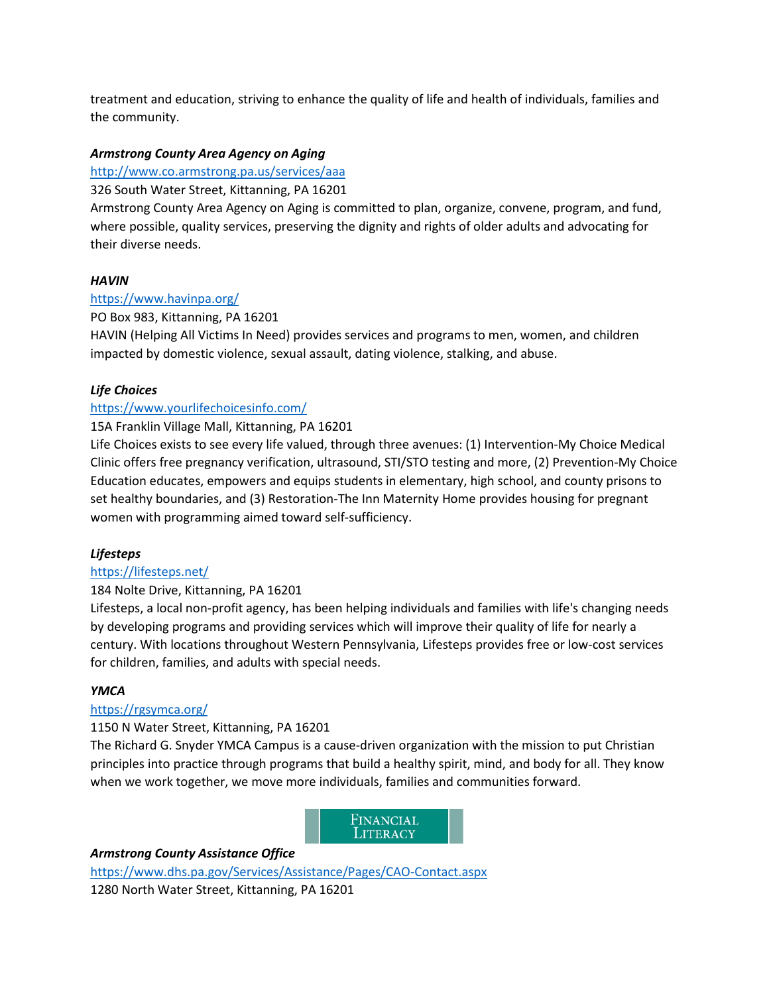treatment and education, striving to enhance the quality of life and health of individuals, families and the community.

# *Armstrong County Area Agency on Aging*

# <http://www.co.armstrong.pa.us/services/aaa>

326 South Water Street, Kittanning, PA 16201

Armstrong County Area Agency on Aging is committed to plan, organize, convene, program, and fund, where possible, quality services, preserving the dignity and rights of older adults and advocating for their diverse needs.

# *HAVIN*

# <https://www.havinpa.org/>

PO Box 983, Kittanning, PA 16201

HAVIN (Helping All Victims In Need) provides services and programs to men, women, and children impacted by domestic violence, sexual assault, dating violence, stalking, and abuse.

# *Life Choices*

# <https://www.yourlifechoicesinfo.com/>

# 15A Franklin Village Mall, Kittanning, PA 16201

Life Choices exists to see every life valued, through three avenues: (1) Intervention-My Choice Medical Clinic offers free pregnancy verification, ultrasound, STI/STO testing and more, (2) Prevention-My Choice Education educates, empowers and equips students in elementary, high school, and county prisons to set healthy boundaries, and (3) Restoration-The Inn Maternity Home provides housing for pregnant women with programming aimed toward self-sufficiency.

# *Lifesteps*

# <https://lifesteps.net/>

# 184 Nolte Drive, Kittanning, PA 16201

Lifesteps, a local non-profit agency, has been helping individuals and families with life's changing needs by developing programs and providing services which will improve their quality of life for nearly a century. With locations throughout Western Pennsylvania, Lifesteps provides free or low-cost services for children, families, and adults with special needs.

# *YMCA*

# <https://rgsymca.org/>

# 1150 N Water Street, Kittanning, PA 16201

The Richard G. Snyder YMCA Campus is a cause-driven organization with the mission to put Christian principles into practice through programs that build a healthy spirit, mind, and body for all. They know when we work together, we move more individuals, families and communities forward.

> FINANCIAL LITERACY

# *Armstrong County Assistance Office*

<https://www.dhs.pa.gov/Services/Assistance/Pages/CAO-Contact.aspx> 1280 North Water Street, Kittanning, PA 16201